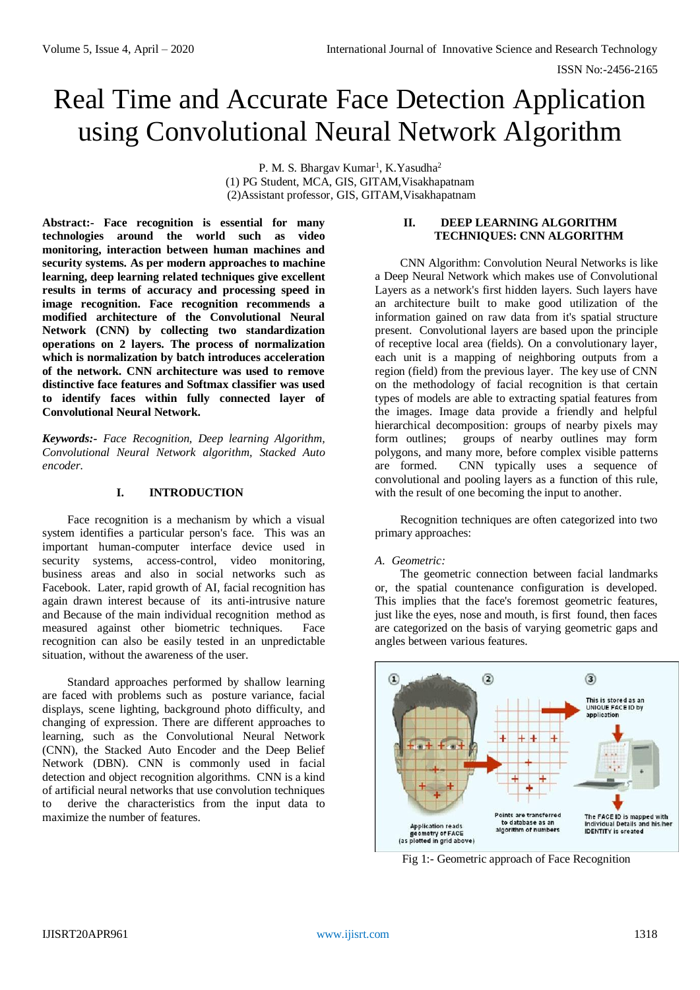# Real Time and Accurate Face Detection Application using Convolutional Neural Network Algorithm

P. M. S. Bhargav Kumar<sup>1</sup>, K.Yasudha<sup>2</sup> (1) PG Student, MCA, GIS, GITAM,Visakhapatnam (2)Assistant professor, GIS, GITAM,Visakhapatnam

**Abstract:- Face recognition is essential for many technologies around the world such as video monitoring, interaction between human machines and security systems. As per modern approaches to machine learning, deep learning related techniques give excellent results in terms of accuracy and processing speed in image recognition. Face recognition recommends a modified architecture of the Convolutional Neural Network (CNN) by collecting two standardization operations on 2 layers. The process of normalization which is normalization by batch introduces acceleration of the network. CNN architecture was used to remove distinctive face features and Softmax classifier was used to identify faces within fully connected layer of Convolutional Neural Network.**

*Keywords:- Face Recognition, Deep learning Algorithm, Convolutional Neural Network algorithm, Stacked Auto encoder.*

#### **I. INTRODUCTION**

Face recognition is a mechanism by which a visual system identifies a particular person's face. This was an important human-computer interface device used in security systems, access-control, video monitoring, business areas and also in social networks such as Facebook. Later, rapid growth of AI, facial recognition has again drawn interest because of its anti-intrusive nature and Because of the main individual recognition method as measured against other biometric techniques. Face recognition can also be easily tested in an unpredictable situation, without the awareness of the user.

Standard approaches performed by shallow learning are faced with problems such as posture variance, facial displays, scene lighting, background photo difficulty, and changing of expression. There are different approaches to learning, such as the Convolutional Neural Network (CNN), the Stacked Auto Encoder and the Deep Belief Network (DBN). CNN is commonly used in facial detection and object recognition algorithms. CNN is a kind of artificial neural networks that use convolution techniques to derive the characteristics from the input data to maximize the number of features.

#### **II. DEEP LEARNING ALGORITHM TECHNIQUES: CNN ALGORITHM**

CNN Algorithm: Convolution Neural Networks is like a Deep Neural Network which makes use of Convolutional Layers as a network's first hidden layers. Such layers have an architecture built to make good utilization of the information gained on raw data from it's spatial structure present. Convolutional layers are based upon the principle of receptive local area (fields). On a convolutionary layer, each unit is a mapping of neighboring outputs from a region (field) from the previous layer. The key use of CNN on the methodology of facial recognition is that certain types of models are able to extracting spatial features from the images. Image data provide a friendly and helpful hierarchical decomposition: groups of nearby pixels may form outlines; groups of nearby outlines may form polygons, and many more, before complex visible patterns are formed. CNN typically uses a sequence of convolutional and pooling layers as a function of this rule, with the result of one becoming the input to another.

Recognition techniques are often categorized into two primary approaches:

### *A. Geometric:*

The geometric connection between facial landmarks or, the spatial countenance configuration is developed. This implies that the face's foremost geometric features, just like the eyes, nose and mouth, is first found, then faces are categorized on the basis of varying geometric gaps and angles between various features.



Fig 1:- Geometric approach of Face Recognition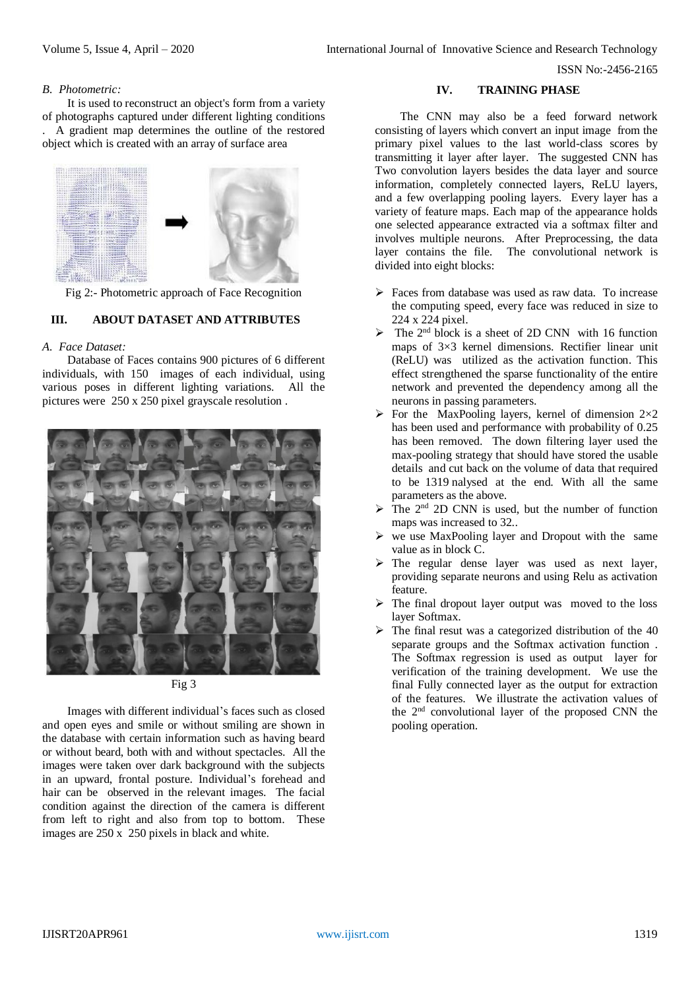ISSN No:-2456-2165

#### *B. Photometric:*

It is used to reconstruct an object's form from a variety of photographs captured under different lighting conditions . A gradient map determines the outline of the restored object which is created with an array of surface area



Fig 2:- Photometric approach of Face Recognition

## **III. ABOUT DATASET AND ATTRIBUTES**

#### *A. Face Dataset:*

Database of Faces contains 900 pictures of 6 different individuals, with 150 images of each individual, using various poses in different lighting variations. All the pictures were 250 x 250 pixel grayscale resolution .



Fig 3

Images with different individual's faces such as closed and open eyes and smile or without smiling are shown in the database with certain information such as having beard or without beard, both with and without spectacles. All the images were taken over dark background with the subjects in an upward, frontal posture. Individual's forehead and hair can be observed in the relevant images. The facial condition against the direction of the camera is different from left to right and also from top to bottom. These images are 250 x 250 pixels in black and white.

#### **IV. TRAINING PHASE**

The CNN may also be a feed forward network consisting of layers which convert an input image from the primary pixel values to the last world-class scores by transmitting it layer after layer. The suggested CNN has Two convolution layers besides the data layer and source information, completely connected layers, ReLU layers, and a few overlapping pooling layers. Every layer has a variety of feature maps. Each map of the appearance holds one selected appearance extracted via a softmax filter and involves multiple neurons. After Preprocessing, the data layer contains the file. The convolutional network is divided into eight blocks:

- Faces from database was used as raw data. To increase the computing speed, every face was reduced in size to 224 x 224 pixel.
- $\triangleright$  The 2<sup>nd</sup> block is a sheet of 2D CNN with 16 function maps of 3×3 kernel dimensions. Rectifier linear unit (ReLU) was utilized as the activation function. This effect strengthened the sparse functionality of the entire network and prevented the dependency among all the neurons in passing parameters.
- $\triangleright$  For the MaxPooling layers, kernel of dimension 2×2 has been used and performance with probability of 0.25 has been removed. The down filtering layer used the max-pooling strategy that should have stored the usable details and cut back on the volume of data that required to be 1319 nalysed at the end. With all the same parameters as the above.
- $\triangleright$  The 2<sup>nd</sup> 2D CNN is used, but the number of function maps was increased to 32..
- $\triangleright$  we use MaxPooling layer and Dropout with the same value as in block C.
- The regular dense layer was used as next layer, providing separate neurons and using Relu as activation feature.
- $\triangleright$  The final dropout layer output was moved to the loss layer Softmax.
- $\triangleright$  The final resut was a categorized distribution of the 40 separate groups and the Softmax activation function . The Softmax regression is used as output layer for verification of the training development. We use the final Fully connected layer as the output for extraction of the features. We illustrate the activation values of the 2nd convolutional layer of the proposed CNN the pooling operation.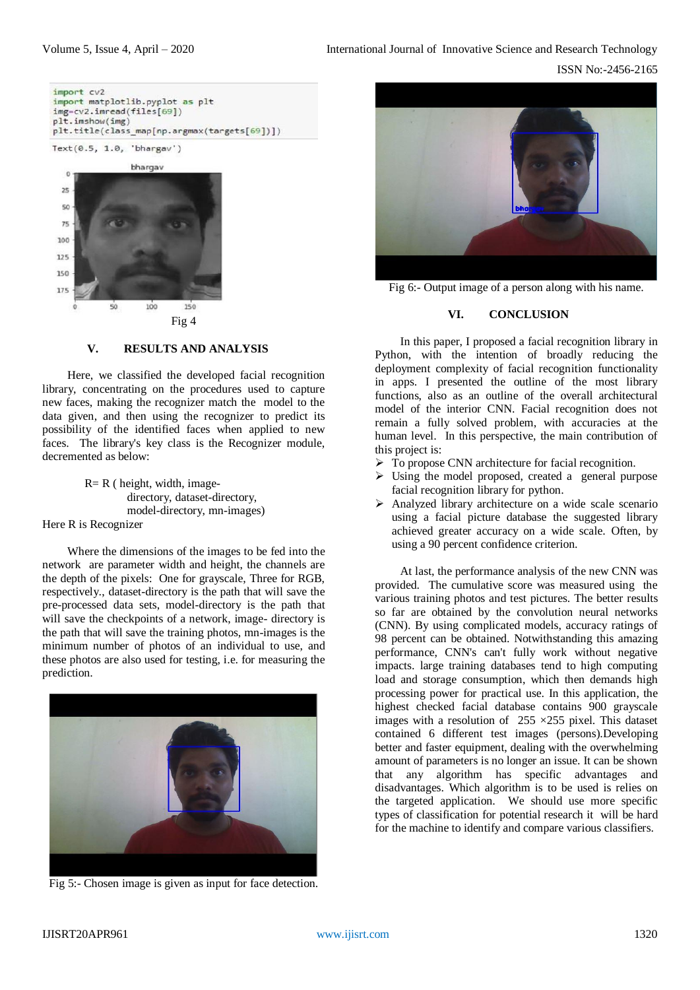

#### **V. RESULTS AND ANALYSIS**

Here, we classified the developed facial recognition library, concentrating on the procedures used to capture new faces, making the recognizer match the model to the data given, and then using the recognizer to predict its possibility of the identified faces when applied to new faces. The library's key class is the Recognizer module, decremented as below:

> $R = R$  ( height, width, imagedirectory, dataset-directory, model-directory, mn-images)

Here R is Recognizer

Where the dimensions of the images to be fed into the network are parameter width and height, the channels are the depth of the pixels: One for grayscale, Three for RGB, respectively., dataset-directory is the path that will save the pre-processed data sets, model-directory is the path that will save the checkpoints of a network, image- directory is the path that will save the training photos, mn-images is the minimum number of photos of an individual to use, and these photos are also used for testing, i.e. for measuring the prediction.



Fig 5:- Chosen image is given as input for face detection.



Fig 6:- Output image of a person along with his name.

#### **VI. CONCLUSION**

In this paper, I proposed a facial recognition library in Python, with the intention of broadly reducing the deployment complexity of facial recognition functionality in apps. I presented the outline of the most library functions, also as an outline of the overall architectural model of the interior CNN. Facial recognition does not remain a fully solved problem, with accuracies at the human level. In this perspective, the main contribution of this project is:

- > To propose CNN architecture for facial recognition.
- Using the model proposed, created a general purpose facial recognition library for python.
- $\triangleright$  Analyzed library architecture on a wide scale scenario using a facial picture database the suggested library achieved greater accuracy on a wide scale. Often, by using a 90 percent confidence criterion.

At last, the performance analysis of the new CNN was provided. The cumulative score was measured using the various training photos and test pictures. The better results so far are obtained by the convolution neural networks (CNN). By using complicated models, accuracy ratings of 98 percent can be obtained. Notwithstanding this amazing performance, CNN's can't fully work without negative impacts. large training databases tend to high computing load and storage consumption, which then demands high processing power for practical use. In this application, the highest checked facial database contains 900 grayscale images with a resolution of  $255 \times 255$  pixel. This dataset contained 6 different test images (persons).Developing better and faster equipment, dealing with the overwhelming amount of parameters is no longer an issue. It can be shown that any algorithm has specific advantages and disadvantages. Which algorithm is to be used is relies on the targeted application. We should use more specific types of classification for potential research it will be hard for the machine to identify and compare various classifiers.